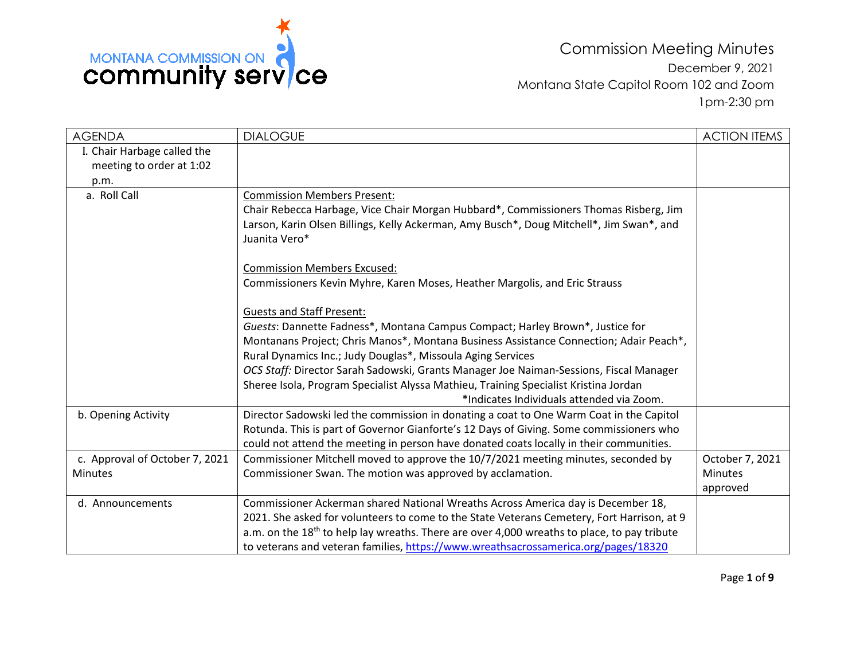

Commission Meeting Minutes December 9, 2021 Montana State Capitol Room 102 and Zoom 1pm-2:30 pm

| <b>AGENDA</b>                  | <b>DIALOGUE</b>                                                                                         | <b>ACTION ITEMS</b> |
|--------------------------------|---------------------------------------------------------------------------------------------------------|---------------------|
| I. Chair Harbage called the    |                                                                                                         |                     |
| meeting to order at 1:02       |                                                                                                         |                     |
| p.m.                           |                                                                                                         |                     |
| a. Roll Call                   | <b>Commission Members Present:</b>                                                                      |                     |
|                                | Chair Rebecca Harbage, Vice Chair Morgan Hubbard*, Commissioners Thomas Risberg, Jim                    |                     |
|                                | Larson, Karin Olsen Billings, Kelly Ackerman, Amy Busch*, Doug Mitchell*, Jim Swan*, and                |                     |
|                                | Juanita Vero*                                                                                           |                     |
|                                | <b>Commission Members Excused:</b>                                                                      |                     |
|                                | Commissioners Kevin Myhre, Karen Moses, Heather Margolis, and Eric Strauss                              |                     |
|                                | <b>Guests and Staff Present:</b>                                                                        |                     |
|                                | Guests: Dannette Fadness*, Montana Campus Compact; Harley Brown*, Justice for                           |                     |
|                                | Montanans Project; Chris Manos*, Montana Business Assistance Connection; Adair Peach*,                  |                     |
|                                | Rural Dynamics Inc.; Judy Douglas*, Missoula Aging Services                                             |                     |
|                                | OCS Staff: Director Sarah Sadowski, Grants Manager Joe Naiman-Sessions, Fiscal Manager                  |                     |
|                                | Sheree Isola, Program Specialist Alyssa Mathieu, Training Specialist Kristina Jordan                    |                     |
|                                | *Indicates Individuals attended via Zoom.                                                               |                     |
| b. Opening Activity            | Director Sadowski led the commission in donating a coat to One Warm Coat in the Capitol                 |                     |
|                                | Rotunda. This is part of Governor Gianforte's 12 Days of Giving. Some commissioners who                 |                     |
|                                | could not attend the meeting in person have donated coats locally in their communities.                 |                     |
| c. Approval of October 7, 2021 | Commissioner Mitchell moved to approve the 10/7/2021 meeting minutes, seconded by                       | October 7, 2021     |
| <b>Minutes</b>                 | Commissioner Swan. The motion was approved by acclamation.                                              | <b>Minutes</b>      |
|                                |                                                                                                         | approved            |
| d. Announcements               | Commissioner Ackerman shared National Wreaths Across America day is December 18,                        |                     |
|                                | 2021. She asked for volunteers to come to the State Veterans Cemetery, Fort Harrison, at 9              |                     |
|                                | a.m. on the 18 <sup>th</sup> to help lay wreaths. There are over 4,000 wreaths to place, to pay tribute |                     |
|                                | to veterans and veteran families, https://www.wreathsacrossamerica.org/pages/18320                      |                     |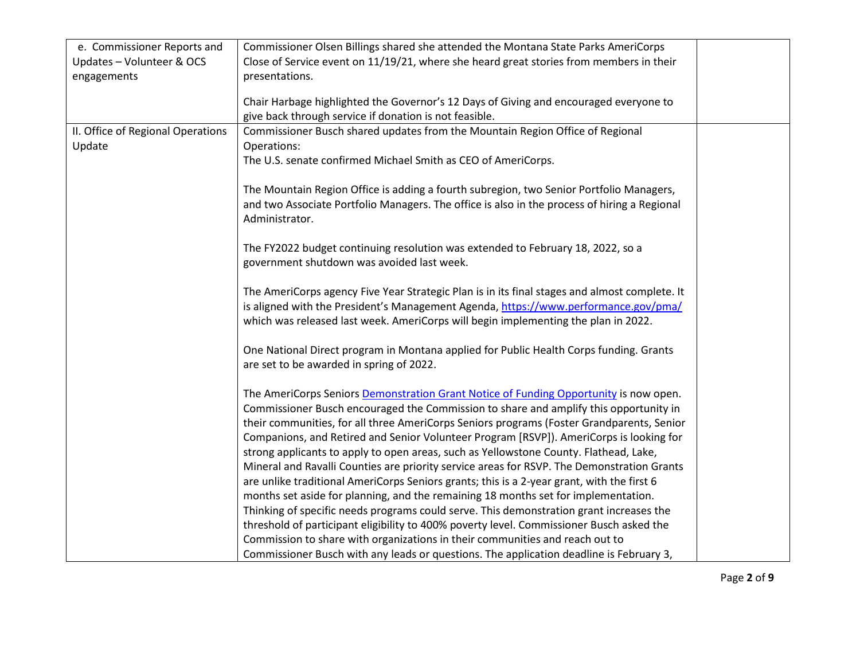| e. Commissioner Reports and       | Commissioner Olsen Billings shared she attended the Montana State Parks AmeriCorps                                                              |  |
|-----------------------------------|-------------------------------------------------------------------------------------------------------------------------------------------------|--|
| Updates - Volunteer & OCS         | Close of Service event on 11/19/21, where she heard great stories from members in their                                                         |  |
| engagements                       | presentations.                                                                                                                                  |  |
|                                   |                                                                                                                                                 |  |
|                                   | Chair Harbage highlighted the Governor's 12 Days of Giving and encouraged everyone to<br>give back through service if donation is not feasible. |  |
| II. Office of Regional Operations | Commissioner Busch shared updates from the Mountain Region Office of Regional                                                                   |  |
| Update                            | Operations:                                                                                                                                     |  |
|                                   | The U.S. senate confirmed Michael Smith as CEO of AmeriCorps.                                                                                   |  |
|                                   |                                                                                                                                                 |  |
|                                   | The Mountain Region Office is adding a fourth subregion, two Senior Portfolio Managers,                                                         |  |
|                                   | and two Associate Portfolio Managers. The office is also in the process of hiring a Regional                                                    |  |
|                                   | Administrator.                                                                                                                                  |  |
|                                   |                                                                                                                                                 |  |
|                                   | The FY2022 budget continuing resolution was extended to February 18, 2022, so a                                                                 |  |
|                                   | government shutdown was avoided last week.                                                                                                      |  |
|                                   |                                                                                                                                                 |  |
|                                   | The AmeriCorps agency Five Year Strategic Plan is in its final stages and almost complete. It                                                   |  |
|                                   | is aligned with the President's Management Agenda, https://www.performance.gov/pma/                                                             |  |
|                                   | which was released last week. AmeriCorps will begin implementing the plan in 2022.                                                              |  |
|                                   |                                                                                                                                                 |  |
|                                   | One National Direct program in Montana applied for Public Health Corps funding. Grants                                                          |  |
|                                   | are set to be awarded in spring of 2022.                                                                                                        |  |
|                                   |                                                                                                                                                 |  |
|                                   | The AmeriCorps Seniors Demonstration Grant Notice of Funding Opportunity is now open.                                                           |  |
|                                   | Commissioner Busch encouraged the Commission to share and amplify this opportunity in                                                           |  |
|                                   | their communities, for all three AmeriCorps Seniors programs (Foster Grandparents, Senior                                                       |  |
|                                   | Companions, and Retired and Senior Volunteer Program [RSVP]). AmeriCorps is looking for                                                         |  |
|                                   | strong applicants to apply to open areas, such as Yellowstone County. Flathead, Lake,                                                           |  |
|                                   | Mineral and Ravalli Counties are priority service areas for RSVP. The Demonstration Grants                                                      |  |
|                                   | are unlike traditional AmeriCorps Seniors grants; this is a 2-year grant, with the first 6                                                      |  |
|                                   | months set aside for planning, and the remaining 18 months set for implementation.                                                              |  |
|                                   | Thinking of specific needs programs could serve. This demonstration grant increases the                                                         |  |
|                                   | threshold of participant eligibility to 400% poverty level. Commissioner Busch asked the                                                        |  |
|                                   | Commission to share with organizations in their communities and reach out to                                                                    |  |
|                                   | Commissioner Busch with any leads or questions. The application deadline is February 3,                                                         |  |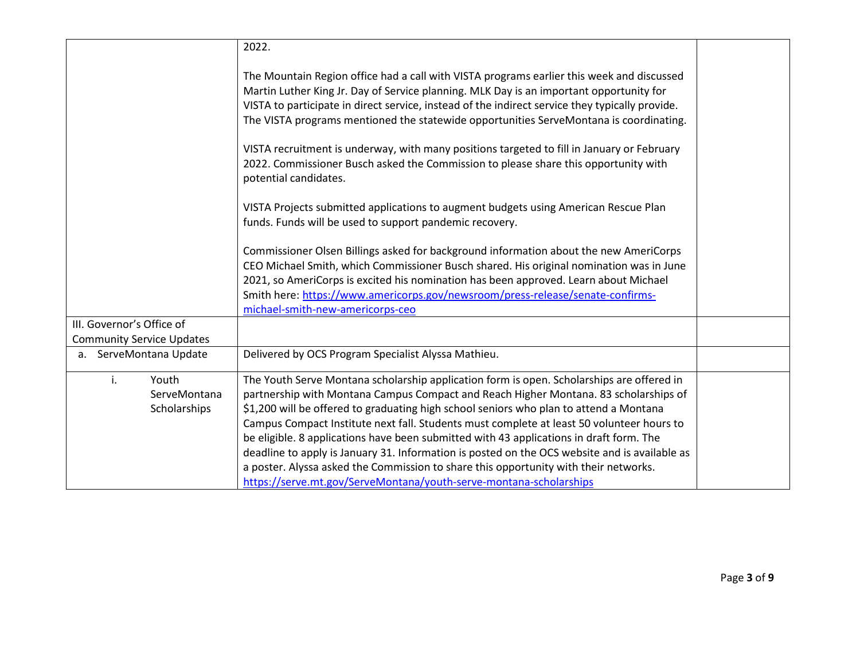|                                             | 2022.                                                                                                                                                                                                                                                                                                                                                                                                                                                                                                                                                                                                                                                                                                                              |  |
|---------------------------------------------|------------------------------------------------------------------------------------------------------------------------------------------------------------------------------------------------------------------------------------------------------------------------------------------------------------------------------------------------------------------------------------------------------------------------------------------------------------------------------------------------------------------------------------------------------------------------------------------------------------------------------------------------------------------------------------------------------------------------------------|--|
|                                             | The Mountain Region office had a call with VISTA programs earlier this week and discussed<br>Martin Luther King Jr. Day of Service planning. MLK Day is an important opportunity for<br>VISTA to participate in direct service, instead of the indirect service they typically provide.<br>The VISTA programs mentioned the statewide opportunities ServeMontana is coordinating.                                                                                                                                                                                                                                                                                                                                                  |  |
|                                             | VISTA recruitment is underway, with many positions targeted to fill in January or February<br>2022. Commissioner Busch asked the Commission to please share this opportunity with<br>potential candidates.                                                                                                                                                                                                                                                                                                                                                                                                                                                                                                                         |  |
|                                             | VISTA Projects submitted applications to augment budgets using American Rescue Plan<br>funds. Funds will be used to support pandemic recovery.                                                                                                                                                                                                                                                                                                                                                                                                                                                                                                                                                                                     |  |
|                                             | Commissioner Olsen Billings asked for background information about the new AmeriCorps<br>CEO Michael Smith, which Commissioner Busch shared. His original nomination was in June<br>2021, so AmeriCorps is excited his nomination has been approved. Learn about Michael<br>Smith here: https://www.americorps.gov/newsroom/press-release/senate-confirms-                                                                                                                                                                                                                                                                                                                                                                         |  |
| III. Governor's Office of                   | michael-smith-new-americorps-ceo                                                                                                                                                                                                                                                                                                                                                                                                                                                                                                                                                                                                                                                                                                   |  |
| <b>Community Service Updates</b>            |                                                                                                                                                                                                                                                                                                                                                                                                                                                                                                                                                                                                                                                                                                                                    |  |
| ServeMontana Update<br>a.                   | Delivered by OCS Program Specialist Alyssa Mathieu.                                                                                                                                                                                                                                                                                                                                                                                                                                                                                                                                                                                                                                                                                |  |
| i.<br>Youth<br>ServeMontana<br>Scholarships | The Youth Serve Montana scholarship application form is open. Scholarships are offered in<br>partnership with Montana Campus Compact and Reach Higher Montana. 83 scholarships of<br>\$1,200 will be offered to graduating high school seniors who plan to attend a Montana<br>Campus Compact Institute next fall. Students must complete at least 50 volunteer hours to<br>be eligible. 8 applications have been submitted with 43 applications in draft form. The<br>deadline to apply is January 31. Information is posted on the OCS website and is available as<br>a poster. Alyssa asked the Commission to share this opportunity with their networks.<br>https://serve.mt.gov/ServeMontana/youth-serve-montana-scholarships |  |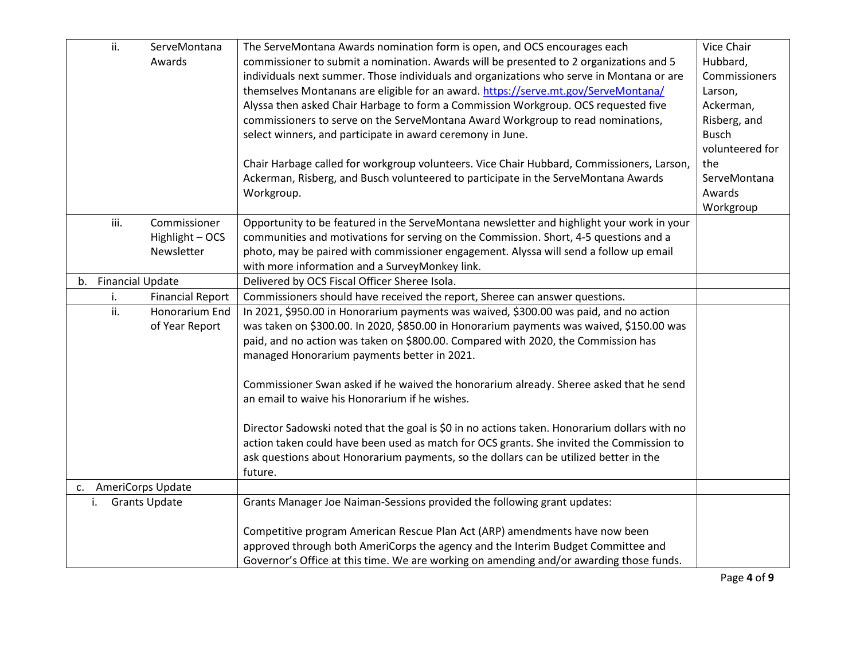|                      | ii.  | ServeMontana            | The ServeMontana Awards nomination form is open, and OCS encourages each                     | Vice Chair      |
|----------------------|------|-------------------------|----------------------------------------------------------------------------------------------|-----------------|
|                      |      | Awards                  | commissioner to submit a nomination. Awards will be presented to 2 organizations and 5       | Hubbard,        |
|                      |      |                         | individuals next summer. Those individuals and organizations who serve in Montana or are     | Commissioners   |
|                      |      |                         | themselves Montanans are eligible for an award. https://serve.mt.gov/ServeMontana/           | Larson,         |
|                      |      |                         | Alyssa then asked Chair Harbage to form a Commission Workgroup. OCS requested five           | Ackerman,       |
|                      |      |                         | commissioners to serve on the ServeMontana Award Workgroup to read nominations,              | Risberg, and    |
|                      |      |                         | select winners, and participate in award ceremony in June.                                   | <b>Busch</b>    |
|                      |      |                         |                                                                                              | volunteered for |
|                      |      |                         | Chair Harbage called for workgroup volunteers. Vice Chair Hubbard, Commissioners, Larson,    | the             |
|                      |      |                         | Ackerman, Risberg, and Busch volunteered to participate in the ServeMontana Awards           | ServeMontana    |
|                      |      |                         | Workgroup.                                                                                   | Awards          |
|                      |      |                         |                                                                                              | Workgroup       |
|                      | iii. | Commissioner            | Opportunity to be featured in the ServeMontana newsletter and highlight your work in your    |                 |
|                      |      | Highlight - OCS         | communities and motivations for serving on the Commission. Short, 4-5 questions and a        |                 |
|                      |      | Newsletter              | photo, may be paired with commissioner engagement. Alyssa will send a follow up email        |                 |
|                      |      |                         | with more information and a SurveyMonkey link.                                               |                 |
| b.                   |      | <b>Financial Update</b> | Delivered by OCS Fiscal Officer Sheree Isola.                                                |                 |
|                      | i.   | <b>Financial Report</b> | Commissioners should have received the report, Sheree can answer questions.                  |                 |
|                      | ii.  | Honorarium End          | In 2021, \$950.00 in Honorarium payments was waived, \$300.00 was paid, and no action        |                 |
|                      |      | of Year Report          | was taken on \$300.00. In 2020, \$850.00 in Honorarium payments was waived, \$150.00 was     |                 |
|                      |      |                         | paid, and no action was taken on \$800.00. Compared with 2020, the Commission has            |                 |
|                      |      |                         | managed Honorarium payments better in 2021.                                                  |                 |
|                      |      |                         |                                                                                              |                 |
|                      |      |                         | Commissioner Swan asked if he waived the honorarium already. Sheree asked that he send       |                 |
|                      |      |                         | an email to waive his Honorarium if he wishes.                                               |                 |
|                      |      |                         |                                                                                              |                 |
|                      |      |                         | Director Sadowski noted that the goal is \$0 in no actions taken. Honorarium dollars with no |                 |
|                      |      |                         | action taken could have been used as match for OCS grants. She invited the Commission to     |                 |
|                      |      |                         | ask questions about Honorarium payments, so the dollars can be utilized better in the        |                 |
|                      |      |                         | future.                                                                                      |                 |
| c. AmeriCorps Update |      |                         |                                                                                              |                 |
|                      | i.   | <b>Grants Update</b>    | Grants Manager Joe Naiman-Sessions provided the following grant updates:                     |                 |
|                      |      |                         |                                                                                              |                 |
|                      |      |                         | Competitive program American Rescue Plan Act (ARP) amendments have now been                  |                 |
|                      |      |                         | approved through both AmeriCorps the agency and the Interim Budget Committee and             |                 |
|                      |      |                         | Governor's Office at this time. We are working on amending and/or awarding those funds.      |                 |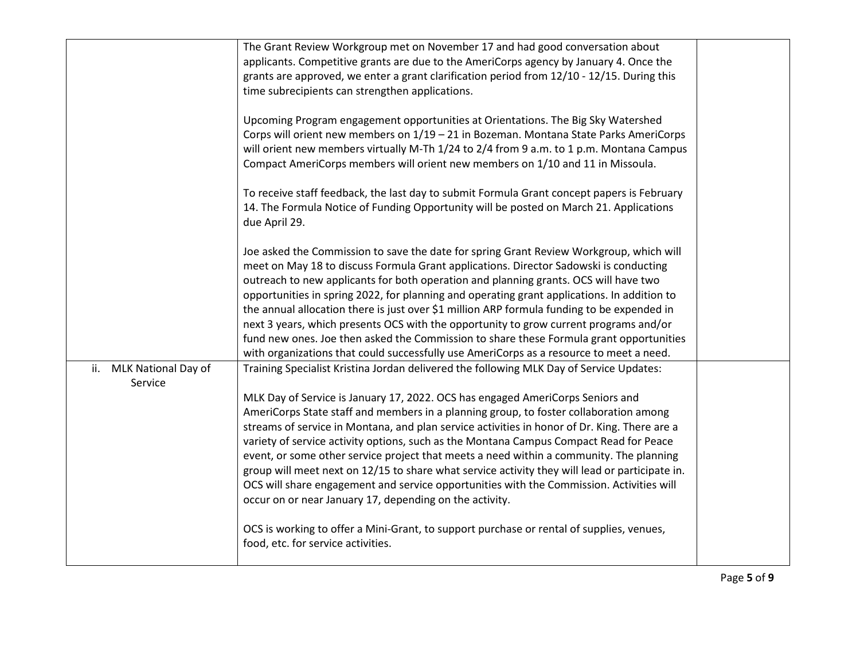|                         | The Grant Review Workgroup met on November 17 and had good conversation about<br>applicants. Competitive grants are due to the AmeriCorps agency by January 4. Once the |  |
|-------------------------|-------------------------------------------------------------------------------------------------------------------------------------------------------------------------|--|
|                         | grants are approved, we enter a grant clarification period from 12/10 - 12/15. During this                                                                              |  |
|                         | time subrecipients can strengthen applications.                                                                                                                         |  |
|                         | Upcoming Program engagement opportunities at Orientations. The Big Sky Watershed                                                                                        |  |
|                         | Corps will orient new members on 1/19 - 21 in Bozeman. Montana State Parks AmeriCorps                                                                                   |  |
|                         | will orient new members virtually M-Th 1/24 to 2/4 from 9 a.m. to 1 p.m. Montana Campus                                                                                 |  |
|                         | Compact AmeriCorps members will orient new members on 1/10 and 11 in Missoula.                                                                                          |  |
|                         | To receive staff feedback, the last day to submit Formula Grant concept papers is February                                                                              |  |
|                         | 14. The Formula Notice of Funding Opportunity will be posted on March 21. Applications                                                                                  |  |
|                         | due April 29.                                                                                                                                                           |  |
|                         | Joe asked the Commission to save the date for spring Grant Review Workgroup, which will                                                                                 |  |
|                         | meet on May 18 to discuss Formula Grant applications. Director Sadowski is conducting                                                                                   |  |
|                         | outreach to new applicants for both operation and planning grants. OCS will have two                                                                                    |  |
|                         | opportunities in spring 2022, for planning and operating grant applications. In addition to                                                                             |  |
|                         | the annual allocation there is just over \$1 million ARP formula funding to be expended in                                                                              |  |
|                         | next 3 years, which presents OCS with the opportunity to grow current programs and/or                                                                                   |  |
|                         | fund new ones. Joe then asked the Commission to share these Formula grant opportunities                                                                                 |  |
|                         | with organizations that could successfully use AmeriCorps as a resource to meet a need.                                                                                 |  |
| ii. MLK National Day of | Training Specialist Kristina Jordan delivered the following MLK Day of Service Updates:                                                                                 |  |
| Service                 |                                                                                                                                                                         |  |
|                         | MLK Day of Service is January 17, 2022. OCS has engaged AmeriCorps Seniors and                                                                                          |  |
|                         | AmeriCorps State staff and members in a planning group, to foster collaboration among                                                                                   |  |
|                         | streams of service in Montana, and plan service activities in honor of Dr. King. There are a                                                                            |  |
|                         | variety of service activity options, such as the Montana Campus Compact Read for Peace                                                                                  |  |
|                         | event, or some other service project that meets a need within a community. The planning                                                                                 |  |
|                         | group will meet next on 12/15 to share what service activity they will lead or participate in.                                                                          |  |
|                         | OCS will share engagement and service opportunities with the Commission. Activities will                                                                                |  |
|                         | occur on or near January 17, depending on the activity.                                                                                                                 |  |
|                         | OCS is working to offer a Mini-Grant, to support purchase or rental of supplies, venues,                                                                                |  |
|                         | food, etc. for service activities.                                                                                                                                      |  |
|                         |                                                                                                                                                                         |  |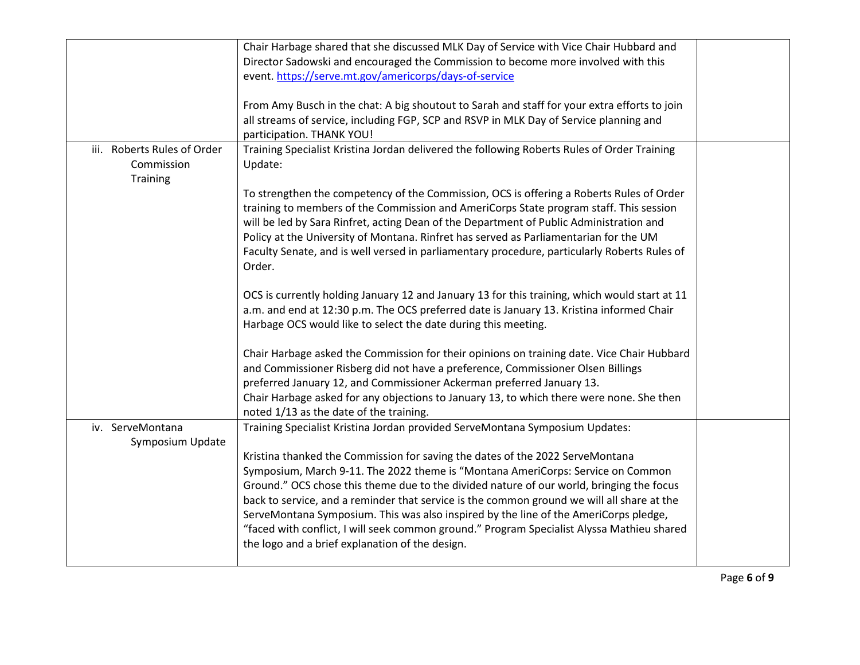|                             | Chair Harbage shared that she discussed MLK Day of Service with Vice Chair Hubbard and        |  |
|-----------------------------|-----------------------------------------------------------------------------------------------|--|
|                             | Director Sadowski and encouraged the Commission to become more involved with this             |  |
|                             | event. https://serve.mt.gov/americorps/days-of-service                                        |  |
|                             |                                                                                               |  |
|                             | From Amy Busch in the chat: A big shoutout to Sarah and staff for your extra efforts to join  |  |
|                             | all streams of service, including FGP, SCP and RSVP in MLK Day of Service planning and        |  |
|                             | participation. THANK YOU!                                                                     |  |
| iii. Roberts Rules of Order | Training Specialist Kristina Jordan delivered the following Roberts Rules of Order Training   |  |
| Commission                  | Update:                                                                                       |  |
| <b>Training</b>             |                                                                                               |  |
|                             | To strengthen the competency of the Commission, OCS is offering a Roberts Rules of Order      |  |
|                             | training to members of the Commission and AmeriCorps State program staff. This session        |  |
|                             | will be led by Sara Rinfret, acting Dean of the Department of Public Administration and       |  |
|                             | Policy at the University of Montana. Rinfret has served as Parliamentarian for the UM         |  |
|                             | Faculty Senate, and is well versed in parliamentary procedure, particularly Roberts Rules of  |  |
|                             | Order.                                                                                        |  |
|                             | OCS is currently holding January 12 and January 13 for this training, which would start at 11 |  |
|                             | a.m. and end at 12:30 p.m. The OCS preferred date is January 13. Kristina informed Chair      |  |
|                             | Harbage OCS would like to select the date during this meeting.                                |  |
|                             |                                                                                               |  |
|                             | Chair Harbage asked the Commission for their opinions on training date. Vice Chair Hubbard    |  |
|                             | and Commissioner Risberg did not have a preference, Commissioner Olsen Billings               |  |
|                             | preferred January 12, and Commissioner Ackerman preferred January 13.                         |  |
|                             | Chair Harbage asked for any objections to January 13, to which there were none. She then      |  |
|                             | noted 1/13 as the date of the training.                                                       |  |
| iv. ServeMontana            | Training Specialist Kristina Jordan provided ServeMontana Symposium Updates:                  |  |
| Symposium Update            |                                                                                               |  |
|                             | Kristina thanked the Commission for saving the dates of the 2022 ServeMontana                 |  |
|                             | Symposium, March 9-11. The 2022 theme is "Montana AmeriCorps: Service on Common               |  |
|                             | Ground." OCS chose this theme due to the divided nature of our world, bringing the focus      |  |
|                             | back to service, and a reminder that service is the common ground we will all share at the    |  |
|                             | ServeMontana Symposium. This was also inspired by the line of the AmeriCorps pledge,          |  |
|                             | "faced with conflict, I will seek common ground." Program Specialist Alyssa Mathieu shared    |  |
|                             | the logo and a brief explanation of the design.                                               |  |
|                             |                                                                                               |  |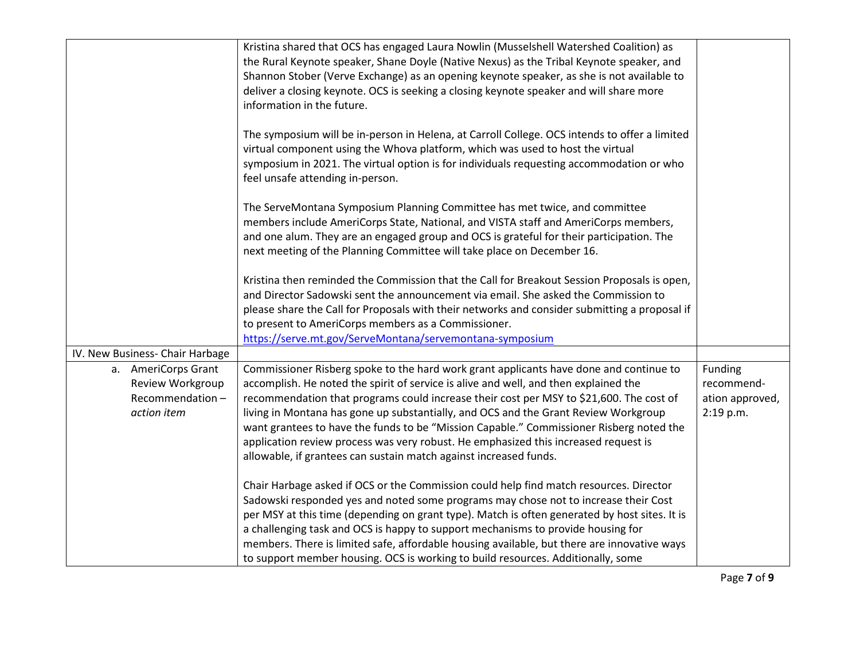|                                                                           | Kristina shared that OCS has engaged Laura Nowlin (Musselshell Watershed Coalition) as<br>the Rural Keynote speaker, Shane Doyle (Native Nexus) as the Tribal Keynote speaker, and<br>Shannon Stober (Verve Exchange) as an opening keynote speaker, as she is not available to<br>deliver a closing keynote. OCS is seeking a closing keynote speaker and will share more<br>information in the future.<br>The symposium will be in-person in Helena, at Carroll College. OCS intends to offer a limited                                                                                                               |                                                       |
|---------------------------------------------------------------------------|-------------------------------------------------------------------------------------------------------------------------------------------------------------------------------------------------------------------------------------------------------------------------------------------------------------------------------------------------------------------------------------------------------------------------------------------------------------------------------------------------------------------------------------------------------------------------------------------------------------------------|-------------------------------------------------------|
|                                                                           | virtual component using the Whova platform, which was used to host the virtual<br>symposium in 2021. The virtual option is for individuals requesting accommodation or who<br>feel unsafe attending in-person.                                                                                                                                                                                                                                                                                                                                                                                                          |                                                       |
|                                                                           | The ServeMontana Symposium Planning Committee has met twice, and committee<br>members include AmeriCorps State, National, and VISTA staff and AmeriCorps members,<br>and one alum. They are an engaged group and OCS is grateful for their participation. The<br>next meeting of the Planning Committee will take place on December 16.                                                                                                                                                                                                                                                                                 |                                                       |
|                                                                           | Kristina then reminded the Commission that the Call for Breakout Session Proposals is open,                                                                                                                                                                                                                                                                                                                                                                                                                                                                                                                             |                                                       |
|                                                                           | and Director Sadowski sent the announcement via email. She asked the Commission to<br>please share the Call for Proposals with their networks and consider submitting a proposal if                                                                                                                                                                                                                                                                                                                                                                                                                                     |                                                       |
|                                                                           | to present to AmeriCorps members as a Commissioner.                                                                                                                                                                                                                                                                                                                                                                                                                                                                                                                                                                     |                                                       |
|                                                                           | https://serve.mt.gov/ServeMontana/servemontana-symposium                                                                                                                                                                                                                                                                                                                                                                                                                                                                                                                                                                |                                                       |
| IV. New Business- Chair Harbage                                           |                                                                                                                                                                                                                                                                                                                                                                                                                                                                                                                                                                                                                         |                                                       |
| a. AmeriCorps Grant<br>Review Workgroup<br>Recommendation-<br>action item | Commissioner Risberg spoke to the hard work grant applicants have done and continue to<br>accomplish. He noted the spirit of service is alive and well, and then explained the<br>recommendation that programs could increase their cost per MSY to \$21,600. The cost of<br>living in Montana has gone up substantially, and OCS and the Grant Review Workgroup<br>want grantees to have the funds to be "Mission Capable." Commissioner Risberg noted the<br>application review process was very robust. He emphasized this increased request is<br>allowable, if grantees can sustain match against increased funds. | Funding<br>recommend-<br>ation approved,<br>2:19 p.m. |
|                                                                           | Chair Harbage asked if OCS or the Commission could help find match resources. Director<br>Sadowski responded yes and noted some programs may chose not to increase their Cost<br>per MSY at this time (depending on grant type). Match is often generated by host sites. It is<br>a challenging task and OCS is happy to support mechanisms to provide housing for<br>members. There is limited safe, affordable housing available, but there are innovative ways<br>to support member housing. OCS is working to build resources. Additionally, some                                                                   |                                                       |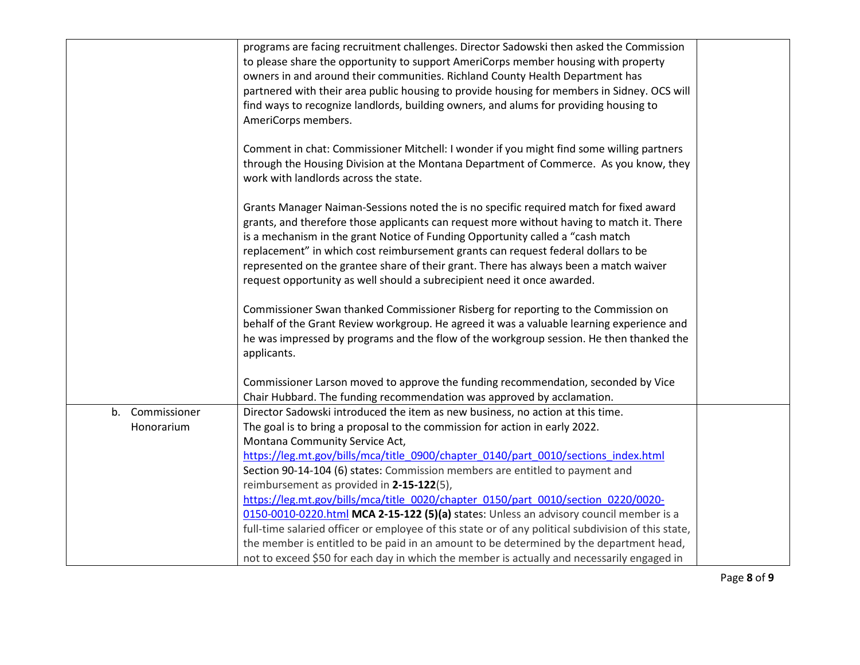|                               | programs are facing recruitment challenges. Director Sadowski then asked the Commission<br>to please share the opportunity to support AmeriCorps member housing with property<br>owners in and around their communities. Richland County Health Department has<br>partnered with their area public housing to provide housing for members in Sidney. OCS will<br>find ways to recognize landlords, building owners, and alums for providing housing to<br>AmeriCorps members.                                                  |  |
|-------------------------------|--------------------------------------------------------------------------------------------------------------------------------------------------------------------------------------------------------------------------------------------------------------------------------------------------------------------------------------------------------------------------------------------------------------------------------------------------------------------------------------------------------------------------------|--|
|                               | Comment in chat: Commissioner Mitchell: I wonder if you might find some willing partners<br>through the Housing Division at the Montana Department of Commerce. As you know, they<br>work with landlords across the state.                                                                                                                                                                                                                                                                                                     |  |
|                               | Grants Manager Naiman-Sessions noted the is no specific required match for fixed award<br>grants, and therefore those applicants can request more without having to match it. There<br>is a mechanism in the grant Notice of Funding Opportunity called a "cash match<br>replacement" in which cost reimbursement grants can request federal dollars to be<br>represented on the grantee share of their grant. There has always been a match waiver<br>request opportunity as well should a subrecipient need it once awarded. |  |
|                               | Commissioner Swan thanked Commissioner Risberg for reporting to the Commission on<br>behalf of the Grant Review workgroup. He agreed it was a valuable learning experience and<br>he was impressed by programs and the flow of the workgroup session. He then thanked the<br>applicants.                                                                                                                                                                                                                                       |  |
|                               | Commissioner Larson moved to approve the funding recommendation, seconded by Vice<br>Chair Hubbard. The funding recommendation was approved by acclamation.                                                                                                                                                                                                                                                                                                                                                                    |  |
| b. Commissioner<br>Honorarium | Director Sadowski introduced the item as new business, no action at this time.<br>The goal is to bring a proposal to the commission for action in early 2022.<br>Montana Community Service Act,                                                                                                                                                                                                                                                                                                                                |  |
|                               | https://leg.mt.gov/bills/mca/title 0900/chapter 0140/part 0010/sections index.html<br>Section 90-14-104 (6) states: Commission members are entitled to payment and<br>reimbursement as provided in 2-15-122(5),                                                                                                                                                                                                                                                                                                                |  |
|                               | https://leg.mt.gov/bills/mca/title_0020/chapter_0150/part_0010/section_0220/0020-<br>0150-0010-0220.html MCA 2-15-122 (5)(a) states: Unless an advisory council member is a<br>full-time salaried officer or employee of this state or of any political subdivision of this state,                                                                                                                                                                                                                                             |  |
|                               | the member is entitled to be paid in an amount to be determined by the department head,<br>not to exceed \$50 for each day in which the member is actually and necessarily engaged in                                                                                                                                                                                                                                                                                                                                          |  |